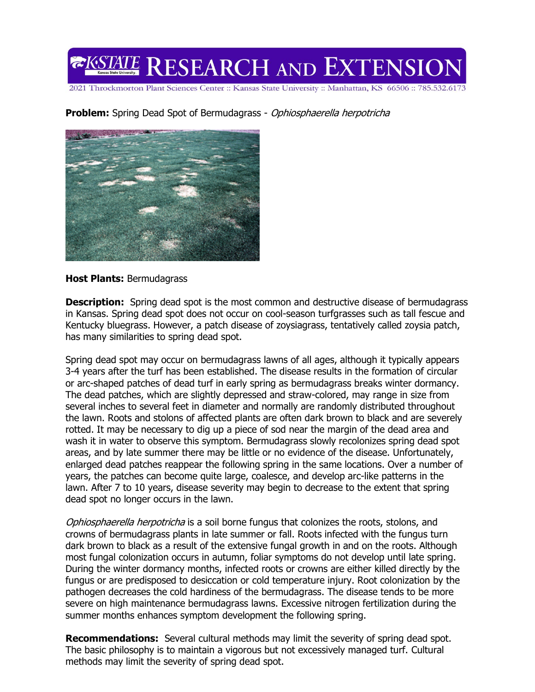**EXSTATE RESEARCH AND EXTENSION** 

2021 Throckmorton Plant Sciences Center :: Kansas State University :: Manhattan, KS 66506 :: 785.532.6173

**Problem:** Spring Dead Spot of Bermudagrass - Ophiosphaerella herpotricha



## **Host Plants:** Bermudagrass

**Description:** Spring dead spot is the most common and destructive disease of bermudagrass in Kansas. Spring dead spot does not occur on cool-season turfgrasses such as tall fescue and Kentucky bluegrass. However, a patch disease of zoysiagrass, tentatively called zoysia patch, has many similarities to spring dead spot.

Spring dead spot may occur on bermudagrass lawns of all ages, although it typically appears 3-4 years after the turf has been established. The disease results in the formation of circular or arc-shaped patches of dead turf in early spring as bermudagrass breaks winter dormancy. The dead patches, which are slightly depressed and straw-colored, may range in size from several inches to several feet in diameter and normally are randomly distributed throughout the lawn. Roots and stolons of affected plants are often dark brown to black and are severely rotted. It may be necessary to dig up a piece of sod near the margin of the dead area and wash it in water to observe this symptom. Bermudagrass slowly recolonizes spring dead spot areas, and by late summer there may be little or no evidence of the disease. Unfortunately, enlarged dead patches reappear the following spring in the same locations. Over a number of years, the patches can become quite large, coalesce, and develop arc-like patterns in the lawn. After 7 to 10 years, disease severity may begin to decrease to the extent that spring dead spot no longer occurs in the lawn.

Ophiosphaerella herpotricha is a soil borne fungus that colonizes the roots, stolons, and crowns of bermudagrass plants in late summer or fall. Roots infected with the fungus turn dark brown to black as a result of the extensive fungal growth in and on the roots. Although most fungal colonization occurs in autumn, foliar symptoms do not develop until late spring. During the winter dormancy months, infected roots or crowns are either killed directly by the fungus or are predisposed to desiccation or cold temperature injury. Root colonization by the pathogen decreases the cold hardiness of the bermudagrass. The disease tends to be more severe on high maintenance bermudagrass lawns. Excessive nitrogen fertilization during the summer months enhances symptom development the following spring.

**Recommendations:** Several cultural methods may limit the severity of spring dead spot. The basic philosophy is to maintain a vigorous but not excessively managed turf. Cultural methods may limit the severity of spring dead spot.